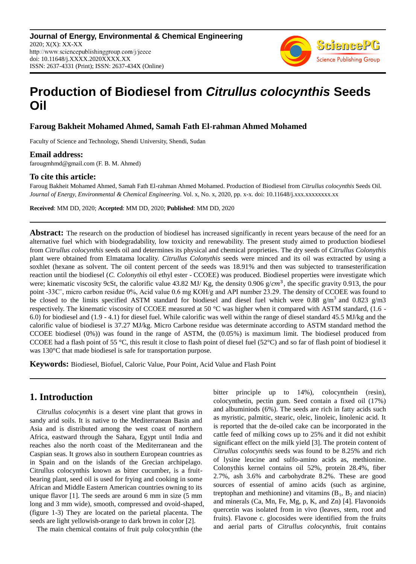

# **Production of Biodiesel from** *Citrullus colocynthis* **Seeds Oil**

# **Faroug Bakheit Mohamed Ahmed, Samah Fath El-rahman Ahmed Mohamed**

Faculty of Science and Technology, Shendi University, Shendi, Sudan

# **Email address:**

farougmhmd@gmail.com (F. B. M. Ahmed)

# **To cite this article:**

Faroug Bakheit Mohamed Ahmed, Samah Fath El-rahman Ahmed Mohamed. Production of Biodiesel from *Citrullus colocynthis* Seeds Oil. *Journal of Energy, Environmental & Chemical Engineering*. Vol. x, No. x, 2020, pp. x-x. doi: 10.11648/j.xxx.xxxxxxxx.xx

**Received**: MM DD, 2020; **Accepted**: MM DD, 2020; **Published**: MM DD, 2020

Abstract: The research on the production of biodiesel has increased significantly in recent years because of the need for an alternative fuel which with biodegradability, low toxicity and renewability. The present study aimed to production biodiesel from *Citrullus colocynthis* seeds oil and determines its physical and chemical proprieties. The dry seeds of *Citrullus Colonythis* plant were obtained from Elmatama locality. *Citrullus Colonythis* seeds were minced and its oil was extracted by using a soxhlet (hexane as solvent. The oil content percent of the seeds was 18.91% and then was subjected to transesterification reaction until the biodiesel (*C. Colonythis* oil ethyl ester - CCOEE) was produced. Biodiesel properties were investigate which were; kinematic viscosity 9cSt, the calorific value 43.82 MJ/ Kg, the density 0.906  $g/cm^3$ , the specific gravity 0.913, the pour point -33C°, micro carbon residue 0%, Acid value 0.6 mg KOH/g and API number 23.29. The density of CCOEE was found to be closed to the limits specified ASTM standard for biodiesel and diesel fuel which were 0.88 g/m<sup>3</sup> and 0.823 g/m<sup>3</sup> respectively. The kinematic viscosity of CCOEE measured at 50 °C was higher when it compared with ASTM standard, (1.6 - 6.0) for biodiesel and (1.9 - 4.1) for diesel fuel. While calorific was well within the range of diesel standard 45.5 MJ/kg and the calorific value of biodiesel is 37.27 MJ/kg. Micro Carbone residue was determinate according to ASTM standard method the CCOEE biodiesel (0%)) was found in the range of ASTM, the (0.05%) is maximum limit. The biodiesel produced from CCOEE had a flash point of 55 °C, this result it close to flash point of diesel fuel (52 °C) and so far of flash point of biodiesel it was 130°C that made biodiesel is safe for transportation purpose.

**Keywords:** Biodiesel, Biofuel, Caloric Value, Pour Point, Acid Value and Flash Point

# **1. Introduction**

*Citrullus colocynthis* is a desert vine plant that grows in sandy arid soils. It is native to the Mediterranean Basin and Asia and is distributed among the west coast of northern Africa, eastward through the Sahara, Egypt until India and reaches also the north coast of the Mediterranean and the Caspian seas. It grows also in southern European countries as in Spain and on the islands of the Grecian archipelago. Citrullus colocynthis known as bitter cucumber, is a fruitbearing plant, seed oil is used for frying and cooking in some African and Middle Eastern American countries owning to its unique flavor [1]. The seeds are around 6 mm in size (5 mm long and 3 mm wide), smooth, compressed and ovoid-shaped, (figure 1-3) They are located on the parietal placenta. The seeds are light yellowish-orange to dark brown in color [2].

The main chemical contains of fruit pulp colocynthin (the

bitter principle up to 14%), colocynthein (resin), colocynthetin, pectin gum. Seed contain a fixed oil (17%) and albuminiods (6%). The seeds are rich in fatty acids such as myristic, palmitic, stearic, oleic, linoleic, linolenic acid. It is reported that the de-oiled cake can be incorporated in the cattle feed of milking cows up to 25% and it did not exhibit significant effect on the milk yield [3]. The protein content of *Citrullus colocynthis* seeds was found to be 8.25% and rich of lysine leucine and sulfo-amino acids as, methionine. Colonythis kernel contains oil 52%, protein 28.4%, fiber 2.7%, ash 3.6% and carbohydrate 8.2%. These are good sources of essential of amino acids (such as arginine, treptophan and methionine) and vitamins  $(B_1, B_2, A_1)$  and niacin and minerals (Ca, Mn, Fe, Mg, p, K, and Zn) [4]. Flavonoids quercetin was isolated from in vivo (leaves, stem, root and fruits). Flavone c. glocosides were identified from the fruits and aerial parts of *Citrullus colocynthis*, fruit contains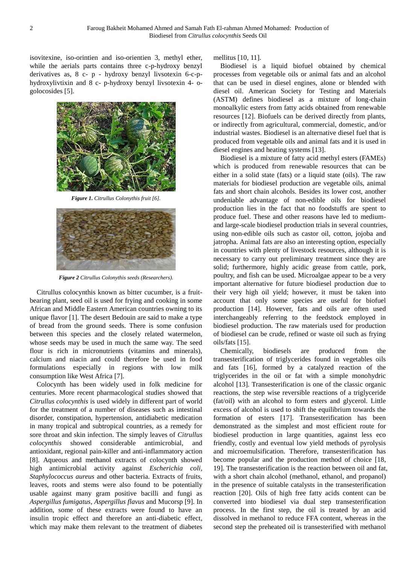isovitexine, iso-orintien and iso-orientien 3, methyl ether, while the aerials parts contains three c-p-hydroxy benzyl derivatives as, 8 c- p - hydroxy benzyl livsotexin 6-c-phydroxylivtixin and 8 c- p-hydroxy benzyl livsotexin 4- ogolocosides [5].



*Figure 1. Citrullus Colonythis fruit [6].*



*Figure 2 Citrullus Colonythis seeds (Researchers).*

Citrullus colocynthis known as bitter cucumber, is a fruitbearing plant, seed oil is used for frying and cooking in some African and Middle Eastern American countries owning to its unique flavor [1]. The desert Bedouin are said to make a type of bread from the ground seeds. There is some confusion between this species and the closely related watermelon, whose seeds may be used in much the same way. The seed flour is rich in micronutrients (vitamins and minerals), calcium and niacin and could therefore be used in food formulations especially in regions with low milk consumption like West Africa [7].

Colocynth has been widely used in folk medicine for centuries. More recent pharmacological studies showed that *Citrullus colocynthis* is used widely in different part of world for the treatment of a number of diseases such as intestinal disorder, constipation, hypertension, antidiabetic medication in many tropical and subtropical countries, as a remedy for sore throat and skin infection. The simply leaves of *Citrullus colocynthis* showed considerable antimicrobial, and antioxidant, regional pain-killer and anti-inflammatory action [8]. Aqueous and methanol extracts of colocynth showed high antimicrobial activity against *Escherichia coli, Staphylococcus aureus* and other bacteria. Extracts of fruits, leaves, roots and stems were also found to be potentially usable against many gram positive bacilli and fungi as *Aspergillus fumigatus*, *Aspergillus flavus* and Mucorsp [9]. In addition, some of these extracts were found to have an insulin tropic effect and therefore an anti-diabetic effect, which may make them relevant to the treatment of diabetes mellitus [10, 11].

Biodiesel is a liquid biofuel obtained by chemical processes from vegetable oils or animal fats and an alcohol that can be used in diesel engines, alone or blended with diesel oil. American Society for Testing and Materials (ASTM) defines biodiesel as a mixture of long-chain monoalkylic esters from fatty acids obtained from renewable resources [12]. Biofuels can be derived directly from plants, or indirectly from agricultural, commercial, domestic, and/or industrial wastes. Biodiesel is an alternative diesel fuel that is produced from vegetable oils and animal fats and it is used in diesel engines and heating systems [13].

Biodiesel is a mixture of fatty acid methyl esters (FAMEs) which is produced from renewable resources that can be either in a solid state (fats) or a liquid state (oils). The raw materials for biodiesel production are vegetable oils, animal fats and short chain alcohols. Besides its lower cost, another undeniable advantage of non-edible oils for biodiesel production lies in the fact that no foodstuffs are spent to produce fuel. These and other reasons have led to mediumand large-scale biodiesel production trials in several countries, using non-edible oils such as castor oil, cotton, jojoba and jatropha. Animal fats are also an interesting option, especially in countries with plenty of livestock resources, although it is necessary to carry out preliminary treatment since they are solid; furthermore, highly acidic grease from cattle, pork, poultry, and fish can be used. Microalgae appear to be a very important alternative for future biodiesel production due to their very high oil yield; however, it must be taken into account that only some species are useful for biofuel production [14]. However, fats and oils are often used interchangeably referring to the feedstock employed in biodiesel production. The raw materials used for production of biodiesel can be crude, refined or waste oil such as frying oils/fats [15].

Chemically, biodiesels are produced from the transesterification of triglycerides found in vegetables oils and fats [16], formed by a catalyzed reaction of the triglycerides in the oil or fat with a simple monohydric alcohol [13]. Transesterification is one of the classic organic reactions, the step wise reversible reactions of a triglyceride (fat/oil) with an alcohol to form esters and glycerol. Little excess of alcohol is used to shift the equilibrium towards the formation of esters [17]. Transesterification has been demonstrated as the simplest and most efficient route for biodiesel production in large quantities, against less eco friendly, costly and eventual low yield methods of pyrolysis and microemulsification. Therefore, transesterification has become popular and the production method of choice [18, 19]. The transesterification is the reaction between oil and fat, with a short chain alcohol (methanol, ethanol, and propanol) in the presence of suitable catalysts in the transesterification reaction [20]. Oils of high free fatty acids content can be converted into biodiesel via dual step transesterification process. In the first step, the oil is treated by an acid dissolved in methanol to reduce FFA content, whereas in the second step the preheated oil is transesterified with methanol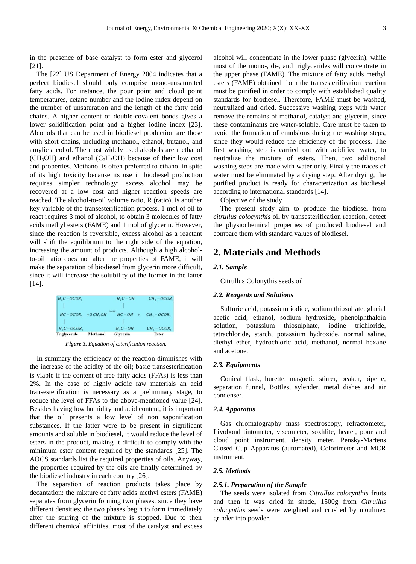in the presence of base catalyst to form ester and glycerol [21].

The [22] US Department of Energy 2004 indicates that a perfect biodiesel should only comprise mono-unsaturated fatty acids. For instance, the pour point and cloud point temperatures, cetane number and the iodine index depend on the number of unsaturation and the length of the fatty acid chains. A higher content of double-covalent bonds gives a lower solidification point and a higher iodine index [23]. Alcohols that can be used in biodiesel production are those with short chains, including methanol, ethanol, butanol, and amylic alcohol. The most widely used alcohols are methanol (CH<sub>3</sub>OH) and ethanol (C<sub>2</sub>H<sub>5</sub>OH) because of their low cost and properties. Methanol is often preferred to ethanol in spite of its high toxicity because its use in biodiesel production requires simpler technology; excess alcohol may be recovered at a low cost and higher reaction speeds are reached. The alcohol-to-oil volume ratio, R (ratio), is another key variable of the transesterification process. 1 mol of oil to react requires 3 mol of alcohol, to obtain 3 molecules of fatty acids methyl esters (FAME) and 1 mol of glycerin. However, since the reaction is reversible, excess alcohol as a reactant will shift the equilibrium to the right side of the equation, increasing the amount of products. Although a high alcoholto-oil ratio does not alter the properties of FAME, it will make the separation of biodiesel from glycerin more difficult, since it will increase the solubility of the former in the latter [14].



*Figure 3. Equation of esterification reaction.*

In summary the efficiency of the reaction diminishes with the increase of the acidity of the oil; basic transesterification is viable if the content of free fatty acids (FFAs) is less than 2%. In the case of highly acidic raw materials an acid transesterification is necessary as a preliminary stage, to reduce the level of FFAs to the above-mentioned value [24]. Besides having low humidity and acid content, it is important that the oil presents a low level of non saponification substances. If the latter were to be present in significant amounts and soluble in biodiesel, it would reduce the level of esters in the product, making it difficult to comply with the minimum ester content required by the standards [25]. The AOCS standards list the required properties of oils. Anyway, the properties required by the oils are finally determined by the biodiesel industry in each country [26].

The separation of reaction products takes place by decantation: the mixture of fatty acids methyl esters (FAME) separates from glycerin forming two phases, since they have different densities; the two phases begin to form immediately after the stirring of the mixture is stopped. Due to their different chemical affinities, most of the catalyst and excess

alcohol will concentrate in the lower phase (glycerin), while most of the mono-, di-, and triglycerides will concentrate in the upper phase (FAME). The mixture of fatty acids methyl esters (FAME) obtained from the transesterification reaction must be purified in order to comply with established quality standards for biodiesel. Therefore, FAME must be washed, neutralized and dried. Successive washing steps with water remove the remains of methanol, catalyst and glycerin, since these contaminants are water-soluble. Care must be taken to avoid the formation of emulsions during the washing steps, since they would reduce the efficiency of the process. The first washing step is carried out with acidified water, to neutralize the mixture of esters. Then, two additional washing steps are made with water only. Finally the traces of water must be eliminated by a drying step. After drying, the purified product is ready for characterization as biodiesel according to international standards [14].

Objective of the study

The present study aim to produce the biodiesel from *citrullus colocynthis* oil by transesterification reaction, detect the physiochemical properties of produced biodiesel and compare them with standard values of biodiesel.

# **2. Materials and Methods**

#### *2.1. Sample*

Citrullus Colonythis seeds oil

#### *2.2. Reagents and Solutions*

Sulfuric acid, potassium iodide, sodium thiosulfate, glacial acetic acid, ethanol, sodium hydroxide, phenolphthalein solution, potassium thiosulphate, iodine trichloride, tetrachloride, starch, potassium hydroxide, normal saline, diethyl ether, hydrochloric acid, methanol, normal hexane and acetone.

## *2.3. Equipments*

Conical flask, burette, magnetic stirrer, beaker, pipette, separation funnel, Bottles, sylender, metal dishes and air condenser.

#### *2.4. Apparatus*

Gas chromatography mass spectroscopy, refractometer, Livobond tintometer, viscometer, soxhlite, heater, pour and cloud point instrument, density meter, Pensky-Martens Closed Cup Apparatus (automated), Colorimeter and MCR instrument.

## *2.5. Methods*

#### *2.5.1. Preparation of the Sample*

The seeds were isolated from *Citrullus colocynthis* fruits and then it was dried in shade, 1500g from *Citrullus colocynthis* seeds were weighted and crushed by moulinex grinder into powder.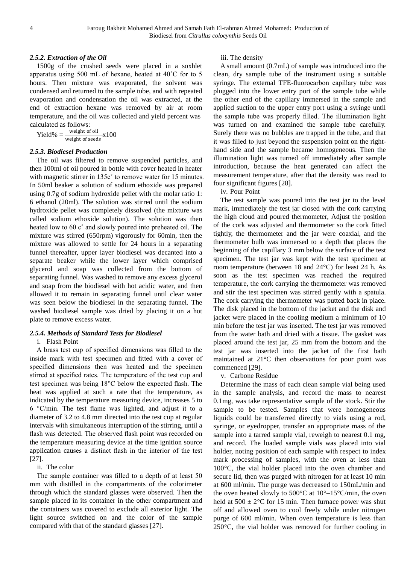## *2.5.2. Extraction of the Oil*

1500g of the crushed seeds were placed in a soxhlet apparatus using 500 mL of hexane, heated at 40˚C for to 5 hours. Then mixture was evaporated, the solvent was condensed and returned to the sample tube, and with repeated evaporation and condensation the oil was extracted, at the end of extraction hexane was removed by air at room temperature, and the oil was collected and yield percent was calculated as follows:

 $Yield\% = \frac{\text{weight of on}}{\text{weight of seeds}} \times 100$ 

#### *2.5.3. Biodiesel Production*

The oil was filtered to remove suspended particles, and then 100ml of oil poured in bottle with cover heated in heater with magnetic stirrer in 135c° to remove water for 15 minutes. In 50ml beaker a solution of sodium ethoxide was prepared using 0.7g of sodium hydroxide pellet with the molar ratio 1: 6 ethanol (20ml). The solution was stirred until the sodium hydroxide pellet was completely dissolved (the mixture was called sodium ethoxide solution). The solution was then heated low to 60 c° and slowly poured into preheated oil. The mixture was stirred (650rpm) vigorously for 60min, then the mixture was allowed to settle for 24 hours in a separating funnel thereafter, upper layer biodiesel was decanted into a separate beaker while the lower layer which comprised glycerol and soap was collected from the bottom of separating funnel. Was washed to remove any excess glycerol and soap from the biodiesel with hot acidic water, and then allowed it to remain in separating funnel until clear water was seen below the biodiesel in the separating funnel. The washed biodiesel sample was dried by placing it on a hot plate to remove excess water.

#### *2.5.4. Methods of Standard Tests for Biodiesel*

#### i. Flash Point

A brass test cup of specified dimensions was filled to the inside mark with test specimen and fitted with a cover of specified dimensions then was heated and the specimen stirred at specified rates. The temperature of the test cup and test specimen was being 18°C below the expected flash. The heat was applied at such a rate that the temperature, as indicated by the temperature measuring device, increases 5 to 6 °C/min. The test flame was lighted, and adjust it to a diameter of 3.2 to 4.8 mm directed into the test cup at regular intervals with simultaneous interruption of the stirring, until a flash was detected. The observed flash point was recorded on the temperature measuring device at the time ignition source application causes a distinct flash in the interior of the test [27].

#### ii. The color

The sample container was filled to a depth of at least 50 mm with distilled in the compartments of the colorimeter through which the standard glasses were observed. Then the sample placed in its container in the other compartment and the containers was covered to exclude all exterior light. The light source switched on and the color of the sample compared with that of the standard glasses [27].

#### iii. The density

A small amount (0.7mL) of sample was introduced into the clean, dry sample tube of the instrument using a suitable syringe. The external TFE-fluorocarbon capillary tube was plugged into the lower entry port of the sample tube while the other end of the capillary immersed in the sample and applied suction to the upper entry port using a syringe until the sample tube was properly filled. The illumination light was turned on and examined the sample tube carefully. Surely there was no bubbles are trapped in the tube, and that it was filled to just beyond the suspension point on the righthand side and the sample became homogeneous. Then the illumination light was turned off immediately after sample introduction, because the heat generated can affect the measurement temperature, after that the density was read to four significant figures [28].

iv. Pour Point

The test sample was poured into the test jar to the level mark, immediately the test jar closed with the cork carrying the high cloud and poured thermometer, Adjust the position of the cork was adjusted and thermometer so the cork fitted tightly, the thermometer and the jar were coaxial, and the thermometer bulb was immersed to a depth that places the beginning of the capillary 3 mm below the surface of the test specimen. The test jar was kept with the test specimen at room temperature (between 18 and 24°C) for least 24 h. As soon as the test specimen was reached the required temperature, the cork carrying the thermometer was removed and stir the test specimen was stirred gently with a spatula. The cork carrying the thermometer was putted back in place. The disk placed in the bottom of the jacket and the disk and jacket were placed in the cooling medium a minimum of 10 min before the test jar was inserted. The test jar was removed from the water bath and dried with a tissue. The gasket was placed around the test jar, 25 mm from the bottom and the test jar was inserted into the jacket of the first bath maintained at 21°C then observations for pour point was commenced [29].

#### v. Carbone Residue

Determine the mass of each clean sample vial being used in the sample analysis, and record the mass to nearest 0.1mg, was take representative sample of the stock. Stir the sample to be tested. Samples that were homogeneous liquids could be transferred directly to vials using a rod, syringe, or eyedropper, transfer an appropriate mass of the sample into a tarred sample vial, reweigh to nearest 0.1 mg, and record. The loaded sample vials was placed into vial holder, noting position of each sample with respect to index mark processing of samples, with the oven at less than 100°C, the vial holder placed into the oven chamber and secure lid, then was purged with nitrogen for at least 10 min at 600 ml/min. The purge was decreased to 150mL/min and the oven heated slowly to 500°C at 10°–15°C/min, the oven held at  $500 \pm 2^{\circ}$ C for 15 min. Then furnace power was shut off and allowed oven to cool freely while under nitrogen purge of 600 ml/min. When oven temperature is less than 250°C, the vial holder was removed for further cooling in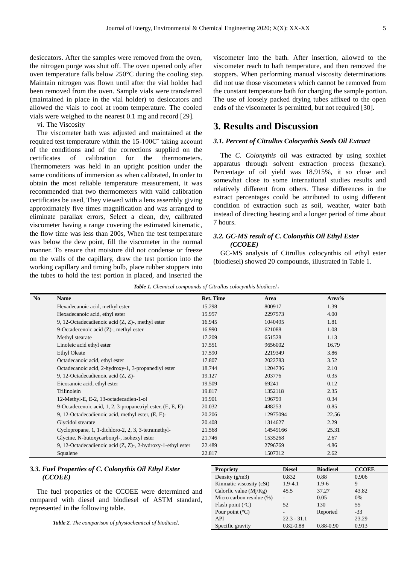desiccators. After the samples were removed from the oven, the nitrogen purge was shut off. The oven opened only after oven temperature falls below 250°C during the cooling step. Maintain nitrogen was flown until after the vial holder had been removed from the oven. Sample vials were transferred (maintained in place in the vial holder) to desiccators and allowed the vials to cool at room temperature. The cooled vials were weighed to the nearest 0.1 mg and record [29].

vi. The Viscosity

The viscometer bath was adjusted and maintained at the required test temperature within the 15-100C˚ taking account of the conditions and of the corrections supplied on the certificates of calibration for the thermometers. Thermometers was held in an upright position under the same conditions of immersion as when calibrated, In order to obtain the most reliable temperature measurement, it was recommended that two thermometers with valid calibration certificates be used, They viewed with a lens assembly giving approximately five times magnification and was arranged to eliminate parallax errors, Select a clean, dry, calibrated viscometer having a range covering the estimated kinematic, the flow time was less than 200s, When the test temperature was below the dew point, fill the viscometer in the normal manner. To ensure that moisture did not condense or freeze on the walls of the capillary, draw the test portion into the working capillary and timing bulb, place rubber stoppers into the tubes to hold the test portion in placed, and inserted the viscometer into the bath. After insertion, allowed to the viscometer reach to bath temperature, and then removed the stoppers. When performing manual viscosity determinations did not use those viscometers which cannot be removed from the constant temperature bath for charging the sample portion. The use of loosely packed drying tubes affixed to the open ends of the viscometer is permitted, but not required [30].

# **3. Results and Discussion**

#### *3.1. Percent of Citrullus Colocynthis Seeds Oil Extract*

The *C. Colonythis* oil was extracted by using soxhlet apparatus through solvent extraction process (hexane). Percentage of oil yield was 18.915%, it so close and somewhat close to some international studies results and relatively different from others. These differences in the extract percentages could be attributed to using different condition of extraction such as soil, weather, water bath instead of directing heating and a longer period of time about 7 hours.

# *3.2. GC-MS result of C. Colonythis Oil Ethyl Ester (CCOEE)*

GC-MS analysis of Citrullus colocynthis oil ethyl ester (biodiesel) showed 20 compounds, illustrated in Table 1.

| No | <b>Name</b>                                                 | <b>Ret. Time</b> | Area     | Area% |
|----|-------------------------------------------------------------|------------------|----------|-------|
|    | Hexadecanoic acid, methyl ester                             | 15.298           | 800917   | 1.39  |
|    | Hexadecanoic acid, ethyl ester                              | 15.957           | 2297573  | 4.00  |
|    | 9, 12-Octadecadienoic acid (Z, Z)-, methyl ester            | 16.945           | 1040495  | 1.81  |
|    | 9-Octadecenoic acid (Z)-, methyl ester                      | 16.990           | 621088   | 1.08  |
|    | Methyl stearate                                             | 17.209           | 651528   | 1.13  |
|    | Linoleic acid ethyl ester                                   | 17.551           | 9656002  | 16.79 |
|    | <b>Ethyl Oleate</b>                                         | 17.590           | 2219349  | 3.86  |
|    | Octadecanoic acid, ethyl ester                              | 17.807           | 2022783  | 3.52  |
|    | Octadecanoic acid, 2-hydroxy-1, 3-propanediyl ester         | 18.744           | 1204736  | 2.10  |
|    | 9, 12-Octadecadienoic acid (Z, Z)-                          | 19.127           | 203776   | 0.35  |
|    | Eicosanoic acid, ethyl ester                                | 19.509           | 69241    | 0.12  |
|    | Trilinolein                                                 | 19.817           | 1352118  | 2.35  |
|    | 12-Methyl-E, E-2, 13-octadecadien-1-ol                      | 19.901           | 196759   | 0.34  |
|    | 9-Octadecenoic acid, 1, 2, 3-propanetriyl ester, (E, E, E)- | 20.032           | 488253   | 0.85  |
|    | 9, 12-Octadecadienoic acid, methyl ester, (E, E)-           | 20.206           | 12975094 | 22.56 |
|    | Glycidol stearate                                           | 20.408           | 1314627  | 2.29  |
|    | Cyclopropane, 1, 1-dichloro-2, 2, 3, 3-tetramethyl-         | 21.568           | 14549166 | 25.31 |
|    | Glycine, N-butoxycarbonyl-, isohexyl ester                  | 21.746           | 1535268  | 2.67  |
|    | 9, 12-Octadecadienoic acid (Z, Z)-, 2-hydroxy-1-ethyl ester | 22.489           | 2796769  | 4.86  |
|    | Squalene                                                    | 22.817           | 1507312  | 2.62  |

*Table 1. Chemical compounds of Citrullus colocynthis biodiesel*。

# *3.3. Fuel Properties of C. Colonythis Oil Ethyl Ester (CCOEE)*

The fuel properties of the CCOEE were determined and compared with diesel and biodiesel of ASTM standard, represented in the following table.

| <b>Propriety</b>          | <b>Diesel</b> | <b>Biodiesel</b> | <b>CCOEE</b> |
|---------------------------|---------------|------------------|--------------|
| Density $(g/m3)$          | 0.832         | 0.88             | 0.906        |
| Kinmatic viscosity (cSt)  | $1.9 - 4.1$   | $1.9-6$          | 9            |
| Calorfic value $(Mi/Kg)$  | 45.5          | 37.27            | 43.82        |
| Micro carbon residue (%)  |               | 0.05             | 0%           |
| Flash point $(^{\circ}C)$ | 52            | 130              | 55           |
| Pour point $(^{\circ}C)$  | -             | Reported         | $-33$        |
| API                       | $22.3 - 31.1$ |                  | 23.29        |
| Specific gravity          | $0.82 - 0.88$ | 0.88-0.90        | 0.913        |

*Table 2. The comparison of physiochemical of biodiesel.*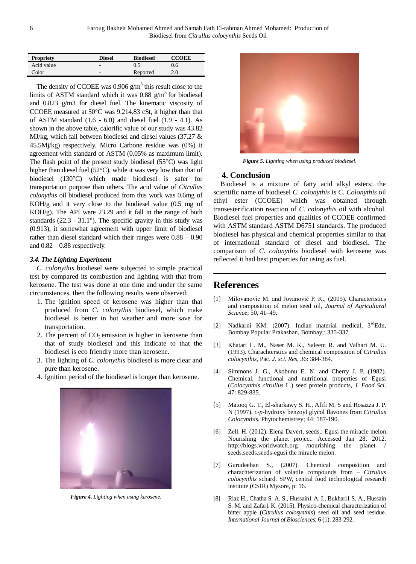| <b>Propriety</b> | <b>Diesel</b> | <b>Biodiesel</b> | <b>CCOEE</b> |
|------------------|---------------|------------------|--------------|
| Acid value       | -             | 0.5              | 0.6          |
| Color            | -             | Reported         | 2.0          |

The density of CCOEE was 0.906  $g/m<sup>3</sup>$  this result close to the limits of ASTM standard which it was 0.88  $g/m<sup>3</sup>$  for biodiesel and 0.823 g/m3 for diesel fuel. The kinematic viscosity of CCOEE measured at 50°C was 9.214.83 cSt, it higher than that of ASTM standard (1.6 - 6.0) and diesel fuel (1.9 - 4.1). As shown in the above table, calorific value of our study was 43.82 MJ/kg, which fall between biodiesel and diesel values (37.27 & 45.5Mj/kg) respectively. Micro Carbone residue was (0%) it agreement with standard of ASTM (0.05% as maximum limit). The flash point of the present study biodiesel (55°C) was light higher than diesel fuel (52°C), while it was very low than that of biodiesel (130°C) which made biodiesel is safer for transportation purpose than others. The acid value of *Citrullus colonythis* oil biodiesel produced from this work was 0.6mg of KOH/g and it very close to the biodiesel value (0.5 mg of KOH/g). The API were 23.29 and it fall in the range of both standards (22.3 - 31.1°). The specific gravity in this study was (0.913), it somewhat agreement with upper limit of biodiesel rather than diesel standard which their ranges were 0.88 – 0.90 and  $0.82 - 0.88$  respectively.

## *3.4. The Lighting Experiment*

*C. colonythis* biodiesel were subjected to simple practical test by compared its combustion and lighting with that from kerosene. The test was done at one time and under the same circumstances, then the following results were observed:

- 1. The ignition speed of kerosene was higher than that produced from *C. colonythis* biodiesel, which make biodiesel is better in hot weather and more save for transportation.
- 2. The percent of  $CO<sub>2</sub>$  emission is higher in kerosene than that of study biodiesel and this indicate to that the biodiesel is eco friendly more than kerosene.
- 3. The lighting of *C. colonythis* biodiesel is more clear and pure than kerosene.
- 4. Ignition period of the biodiesel is longer than kerosene.



*Figure 4. Lighting when using kerosene.*



*Figure 5. Lighting when using produced biodiesel.*

## **4. Conclusion**

Biodiesel is a mixture of fatty acid alkyl esters; the scientific name of biodiesel *C. colonythis* is *C. Colonythis* oil ethyl ester (CCOEE) which was obtained through transesterification reaction of *C. colonythis* oil with alcohol. Biodiesel fuel properties and qualities of CCOEE confirmed with ASTM standard ASTM D6751 standards. The produced biodiesel has physical and chemical properties similar to that of international standard of diesel and biodiesel. The comparison of *C. colonythis* biodiesel with kerosene was reflected it had best properties for using as fuel.

# **References**

- [1] Milovanovic M. and Jovanović P. K., (2005). Characteristics and composition of melon seed oil, *Journal of Agricultural Science*; 50, 41–49.
- [2] Nadkarni KM. (2007). Indian material medical,  $3<sup>rd</sup>Edn$ , Bombay Popular Prakashan, Bombay;: 335-337.
- [3] Khatari L. M., Naser M. K., Saleem R. and Valhari M. U. (1993). Charachterstics and chemical composition of *Citrullus colocynthis,* Pac. *J. sci. Res*, 36: 384-384.
- [4] Simmons J. G., Akobunu E. N. and Cherry J. P. (1982). Chemical, functional and nutritional properties of Egusi (*Colocynthis citrullus* L.) seed protein products, *J. Food Sci*. 47: 829-835.
- [5] Matooq G. T., El-sharkawy S. H., Afifi M. S and Rosazza J. P. N (1997). *c-p*-hydroxy benzoyl glycol flavones from *Citrullus Colocynthis.* Phytochemistrey; 44: 187-190.
- [6] Zell. H. (2012). Elena Davert, seeds,: Egusi the miracle melon. Nourishing the planet project. Accessed Jan 28, 2012. http://blogs.worldwatch.org /nourishing the planet / seeds.seeds.seeds-egusi the miracle melon.
- [7] Gurudeeban S., (2007). Chemical composition and charachterization of volatile compounds from – *Citrullus colocynthis* schard. SPW, central food technological research institute (CSIR) Mysore, p: 16.
- [8] Riaz H., Chatha S. A. S., Hussain1 A. I., Bukhari1 S. A., Hussain S. M. and Zafar1 K. (2015). Physico-chemical characterization of bitter apple (*Citrullus colosynthis*) seed oil and seed residue. *International Journal of Biosciences*; 6 (1): 283-292.